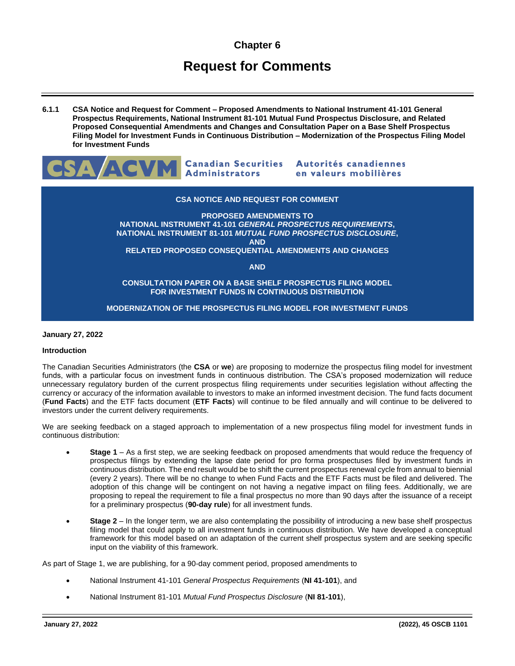# **Chapter 6**

# **Request for Comments**

**6.1.1 CSA Notice and Request for Comment – Proposed Amendments to National Instrument 41-101 General Prospectus Requirements, National Instrument 81-101 Mutual Fund Prospectus Disclosure, and Related Proposed Consequential Amendments and Changes and Consultation Paper on a Base Shelf Prospectus Filing Model for Investment Funds in Continuous Distribution – Modernization of the Prospectus Filing Model for Investment Funds**



# **CSA NOTICE AND REQUEST FOR COMMENT**

**PROPOSED AMENDMENTS TO NATIONAL INSTRUMENT 41-101** *GENERAL PROSPECTUS REQUIREMENTS***, NATIONAL INSTRUMENT 81-101** *MUTUAL FUND PROSPECTUS DISCLOSURE***, AND RELATED PROPOSED CONSEQUENTIAL AMENDMENTS AND CHANGES**

**AND**

**CONSULTATION PAPER ON A BASE SHELF PROSPECTUS FILING MODEL FOR INVESTMENT FUNDS IN CONTINUOUS DISTRIBUTION**

# **MODERNIZATION OF THE PROSPECTUS FILING MODEL FOR INVESTMENT FUNDS**

# **January 27, 2022**

#### **Introduction**

The Canadian Securities Administrators (the **CSA** or **we**) are proposing to modernize the prospectus filing model for investment funds, with a particular focus on investment funds in continuous distribution. The CSA's proposed modernization will reduce unnecessary regulatory burden of the current prospectus filing requirements under securities legislation without affecting the currency or accuracy of the information available to investors to make an informed investment decision. The fund facts document (**Fund Facts**) and the ETF facts document (**ETF Facts**) will continue to be filed annually and will continue to be delivered to investors under the current delivery requirements.

We are seeking feedback on a staged approach to implementation of a new prospectus filing model for investment funds in continuous distribution:

- **Stage 1** As a first step, we are seeking feedback on proposed amendments that would reduce the frequency of prospectus filings by extending the lapse date period for pro forma prospectuses filed by investment funds in continuous distribution. The end result would be to shift the current prospectus renewal cycle from annual to biennial (every 2 years). There will be no change to when Fund Facts and the ETF Facts must be filed and delivered. The adoption of this change will be contingent on not having a negative impact on filing fees. Additionally, we are proposing to repeal the requirement to file a final prospectus no more than 90 days after the issuance of a receipt for a preliminary prospectus (**90-day rule**) for all investment funds.
- **Stage 2** In the longer term, we are also contemplating the possibility of introducing a new base shelf prospectus filing model that could apply to all investment funds in continuous distribution. We have developed a conceptual framework for this model based on an adaptation of the current shelf prospectus system and are seeking specific input on the viability of this framework.

As part of Stage 1, we are publishing, for a 90-day comment period, proposed amendments to

- National Instrument 41-101 *General Prospectus Requirements* (**NI 41-101**), and
- National Instrument 81-101 *Mutual Fund Prospectus Disclosure* (**NI 81-101**),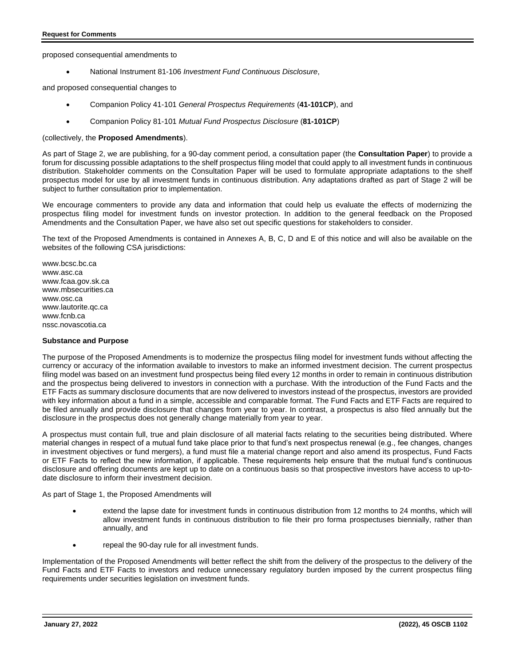proposed consequential amendments to

• National Instrument 81-106 *Investment Fund Continuous Disclosure*,

and proposed consequential changes to

- Companion Policy 41-101 *General Prospectus Requirements* (**41-101CP**), and
- Companion Policy 81-101 *Mutual Fund Prospectus Disclosure* (**81-101CP**)

#### (collectively, the **Proposed Amendments**).

As part of Stage 2, we are publishing, for a 90-day comment period, a consultation paper (the **Consultation Paper**) to provide a forum for discussing possible adaptations to the shelf prospectus filing model that could apply to all investment funds in continuous distribution. Stakeholder comments on the Consultation Paper will be used to formulate appropriate adaptations to the shelf prospectus model for use by all investment funds in continuous distribution. Any adaptations drafted as part of Stage 2 will be subject to further consultation prior to implementation.

We encourage commenters to provide any data and information that could help us evaluate the effects of modernizing the prospectus filing model for investment funds on investor protection. In addition to the general feedback on the Proposed Amendments and the Consultation Paper, we have also set out specific questions for stakeholders to consider.

The text of the Proposed Amendments is contained in Annexes A, B, C, D and E of this notice and will also be available on the websites of the following CSA jurisdictions:

www.bcsc.bc.ca www.asc.ca www.fcaa.gov.sk.ca www.mbsecurities.ca www.osc.ca www.lautorite.qc.ca www.fcnb.ca nssc.novascotia.ca

#### **Substance and Purpose**

The purpose of the Proposed Amendments is to modernize the prospectus filing model for investment funds without affecting the currency or accuracy of the information available to investors to make an informed investment decision. The current prospectus filing model was based on an investment fund prospectus being filed every 12 months in order to remain in continuous distribution and the prospectus being delivered to investors in connection with a purchase. With the introduction of the Fund Facts and the ETF Facts as summary disclosure documents that are now delivered to investors instead of the prospectus, investors are provided with key information about a fund in a simple, accessible and comparable format. The Fund Facts and ETF Facts are required to be filed annually and provide disclosure that changes from year to year. In contrast, a prospectus is also filed annually but the disclosure in the prospectus does not generally change materially from year to year.

A prospectus must contain full, true and plain disclosure of all material facts relating to the securities being distributed. Where material changes in respect of a mutual fund take place prior to that fund's next prospectus renewal (e.g., fee changes, changes in investment objectives or fund mergers), a fund must file a material change report and also amend its prospectus, Fund Facts or ETF Facts to reflect the new information, if applicable. These requirements help ensure that the mutual fund's continuous disclosure and offering documents are kept up to date on a continuous basis so that prospective investors have access to up-todate disclosure to inform their investment decision.

As part of Stage 1, the Proposed Amendments will

- extend the lapse date for investment funds in continuous distribution from 12 months to 24 months, which will allow investment funds in continuous distribution to file their pro forma prospectuses biennially, rather than annually, and
- repeal the 90-day rule for all investment funds.

Implementation of the Proposed Amendments will better reflect the shift from the delivery of the prospectus to the delivery of the Fund Facts and ETF Facts to investors and reduce unnecessary regulatory burden imposed by the current prospectus filing requirements under securities legislation on investment funds.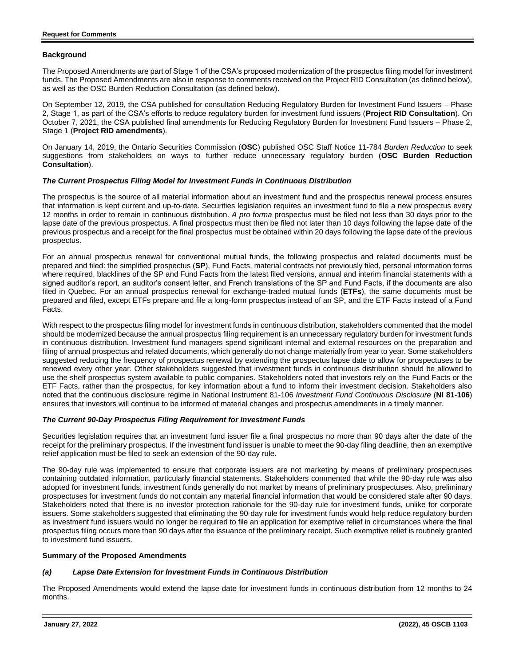# **Background**

The Proposed Amendments are part of Stage 1 of the CSA's proposed modernization of the prospectus filing model for investment funds. The Proposed Amendments are also in response to comments received on the Project RID Consultation (as defined below), as well as the OSC Burden Reduction Consultation (as defined below).

On September 12, 2019, the CSA published for consultation Reducing Regulatory Burden for Investment Fund Issuers – Phase 2, Stage 1, as part of the CSA's efforts to reduce regulatory burden for investment fund issuers (**Project RID Consultation**). On October 7, 2021, the CSA published final amendments for Reducing Regulatory Burden for Investment Fund Issuers – Phase 2, Stage 1 (**Project RID amendments**).

On January 14, 2019, the Ontario Securities Commission (**OSC**) published OSC Staff Notice 11-784 *Burden Reduction* to seek suggestions from stakeholders on ways to further reduce unnecessary regulatory burden (**OSC Burden Reduction Consultation**).

# *The Current Prospectus Filing Model for Investment Funds in Continuous Distribution*

The prospectus is the source of all material information about an investment fund and the prospectus renewal process ensures that information is kept current and up-to-date. Securities legislation requires an investment fund to file a new prospectus every 12 months in order to remain in continuous distribution. *A pro forma* prospectus must be filed not less than 30 days prior to the lapse date of the previous prospectus. A final prospectus must then be filed not later than 10 days following the lapse date of the previous prospectus and a receipt for the final prospectus must be obtained within 20 days following the lapse date of the previous prospectus.

For an annual prospectus renewal for conventional mutual funds, the following prospectus and related documents must be prepared and filed: the simplified prospectus (**SP**), Fund Facts, material contracts not previously filed, personal information forms where required, blacklines of the SP and Fund Facts from the latest filed versions, annual and interim financial statements with a signed auditor's report, an auditor's consent letter, and French translations of the SP and Fund Facts, if the documents are also filed in Quebec. For an annual prospectus renewal for exchange-traded mutual funds (**ETFs**), the same documents must be prepared and filed, except ETFs prepare and file a long-form prospectus instead of an SP, and the ETF Facts instead of a Fund Facts.

With respect to the prospectus filing model for investment funds in continuous distribution, stakeholders commented that the model should be modernized because the annual prospectus filing requirement is an unnecessary regulatory burden for investment funds in continuous distribution. Investment fund managers spend significant internal and external resources on the preparation and filing of annual prospectus and related documents, which generally do not change materially from year to year. Some stakeholders suggested reducing the frequency of prospectus renewal by extending the prospectus lapse date to allow for prospectuses to be renewed every other year. Other stakeholders suggested that investment funds in continuous distribution should be allowed to use the shelf prospectus system available to public companies. Stakeholders noted that investors rely on the Fund Facts or the ETF Facts, rather than the prospectus, for key information about a fund to inform their investment decision. Stakeholders also noted that the continuous disclosure regime in National Instrument 81-106 *Investment Fund Continuous Disclosure* (**NI 81-106**) ensures that investors will continue to be informed of material changes and prospectus amendments in a timely manner.

# *The Current 90-Day Prospectus Filing Requirement for Investment Funds*

Securities legislation requires that an investment fund issuer file a final prospectus no more than 90 days after the date of the receipt for the preliminary prospectus. If the investment fund issuer is unable to meet the 90-day filing deadline, then an exemptive relief application must be filed to seek an extension of the 90-day rule.

The 90-day rule was implemented to ensure that corporate issuers are not marketing by means of preliminary prospectuses containing outdated information, particularly financial statements. Stakeholders commented that while the 90-day rule was also adopted for investment funds, investment funds generally do not market by means of preliminary prospectuses. Also, preliminary prospectuses for investment funds do not contain any material financial information that would be considered stale after 90 days. Stakeholders noted that there is no investor protection rationale for the 90-day rule for investment funds, unlike for corporate issuers. Some stakeholders suggested that eliminating the 90-day rule for investment funds would help reduce regulatory burden as investment fund issuers would no longer be required to file an application for exemptive relief in circumstances where the final prospectus filing occurs more than 90 days after the issuance of the preliminary receipt. Such exemptive relief is routinely granted to investment fund issuers.

# **Summary of the Proposed Amendments**

# *(a) Lapse Date Extension for Investment Funds in Continuous Distribution*

The Proposed Amendments would extend the lapse date for investment funds in continuous distribution from 12 months to 24 months.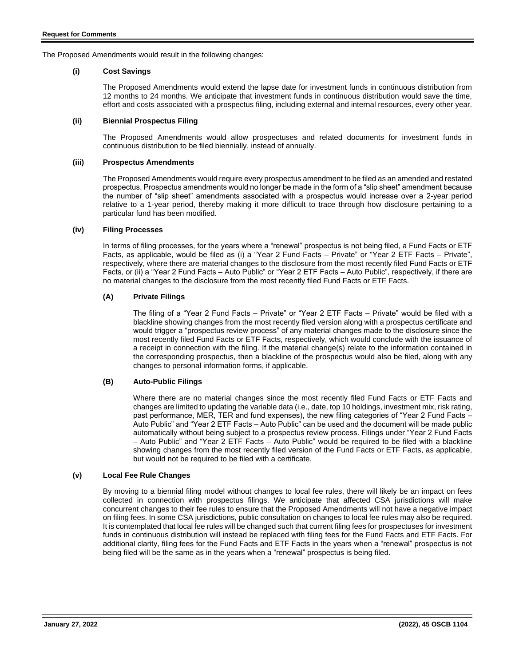The Proposed Amendments would result in the following changes:

# **(i) Cost Savings**

The Proposed Amendments would extend the lapse date for investment funds in continuous distribution from 12 months to 24 months. We anticipate that investment funds in continuous distribution would save the time, effort and costs associated with a prospectus filing, including external and internal resources, every other year.

# **(ii) Biennial Prospectus Filing**

The Proposed Amendments would allow prospectuses and related documents for investment funds in continuous distribution to be filed biennially, instead of annually.

#### **(iii) Prospectus Amendments**

The Proposed Amendments would require every prospectus amendment to be filed as an amended and restated prospectus. Prospectus amendments would no longer be made in the form of a "slip sheet" amendment because the number of "slip sheet" amendments associated with a prospectus would increase over a 2-year period relative to a 1-year period, thereby making it more difficult to trace through how disclosure pertaining to a particular fund has been modified.

# **(iv) Filing Processes**

In terms of filing processes, for the years where a "renewal" prospectus is not being filed, a Fund Facts or ETF Facts, as applicable, would be filed as (i) a "Year 2 Fund Facts – Private" or "Year 2 ETF Facts – Private", respectively, where there are material changes to the disclosure from the most recently filed Fund Facts or ETF Facts, or (ii) a "Year 2 Fund Facts – Auto Public" or "Year 2 ETF Facts – Auto Public", respectively, if there are no material changes to the disclosure from the most recently filed Fund Facts or ETF Facts.

# **(A) Private Filings**

The filing of a "Year 2 Fund Facts – Private" or "Year 2 ETF Facts – Private" would be filed with a blackline showing changes from the most recently filed version along with a prospectus certificate and would trigger a "prospectus review process" of any material changes made to the disclosure since the most recently filed Fund Facts or ETF Facts, respectively, which would conclude with the issuance of a receipt in connection with the filing. If the material change(s) relate to the information contained in the corresponding prospectus, then a blackline of the prospectus would also be filed, along with any changes to personal information forms, if applicable.

# **(B) Auto-Public Filings**

Where there are no material changes since the most recently filed Fund Facts or ETF Facts and changes are limited to updating the variable data (i.e., date, top 10 holdings, investment mix, risk rating, past performance, MER, TER and fund expenses), the new filing categories of "Year 2 Fund Facts – Auto Public" and "Year 2 ETF Facts – Auto Public" can be used and the document will be made public automatically without being subject to a prospectus review process. Filings under "Year 2 Fund Facts – Auto Public" and "Year 2 ETF Facts – Auto Public" would be required to be filed with a blackline showing changes from the most recently filed version of the Fund Facts or ETF Facts, as applicable, but would not be required to be filed with a certificate.

# **(v) Local Fee Rule Changes**

By moving to a biennial filing model without changes to local fee rules, there will likely be an impact on fees collected in connection with prospectus filings. We anticipate that affected CSA jurisdictions will make concurrent changes to their fee rules to ensure that the Proposed Amendments will not have a negative impact on filing fees. In some CSA jurisdictions, public consultation on changes to local fee rules may also be required. It is contemplated that local fee rules will be changed such that current filing fees for prospectuses for investment funds in continuous distribution will instead be replaced with filing fees for the Fund Facts and ETF Facts. For additional clarity, filing fees for the Fund Facts and ETF Facts in the years when a "renewal" prospectus is not being filed will be the same as in the years when a "renewal" prospectus is being filed.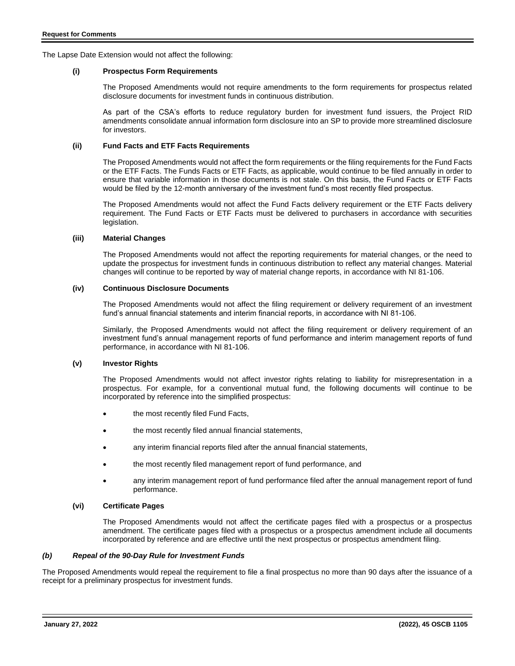The Lapse Date Extension would not affect the following:

#### **(i) Prospectus Form Requirements**

The Proposed Amendments would not require amendments to the form requirements for prospectus related disclosure documents for investment funds in continuous distribution.

As part of the CSA's efforts to reduce regulatory burden for investment fund issuers, the Project RID amendments consolidate annual information form disclosure into an SP to provide more streamlined disclosure for investors.

# **(ii) Fund Facts and ETF Facts Requirements**

The Proposed Amendments would not affect the form requirements or the filing requirements for the Fund Facts or the ETF Facts. The Funds Facts or ETF Facts, as applicable, would continue to be filed annually in order to ensure that variable information in those documents is not stale. On this basis, the Fund Facts or ETF Facts would be filed by the 12-month anniversary of the investment fund's most recently filed prospectus.

The Proposed Amendments would not affect the Fund Facts delivery requirement or the ETF Facts delivery requirement. The Fund Facts or ETF Facts must be delivered to purchasers in accordance with securities legislation.

# **(iii) Material Changes**

The Proposed Amendments would not affect the reporting requirements for material changes, or the need to update the prospectus for investment funds in continuous distribution to reflect any material changes. Material changes will continue to be reported by way of material change reports, in accordance with NI 81-106.

#### **(iv) Continuous Disclosure Documents**

The Proposed Amendments would not affect the filing requirement or delivery requirement of an investment fund's annual financial statements and interim financial reports, in accordance with NI 81-106.

Similarly, the Proposed Amendments would not affect the filing requirement or delivery requirement of an investment fund's annual management reports of fund performance and interim management reports of fund performance, in accordance with NI 81-106.

# **(v) Investor Rights**

The Proposed Amendments would not affect investor rights relating to liability for misrepresentation in a prospectus. For example, for a conventional mutual fund, the following documents will continue to be incorporated by reference into the simplified prospectus:

- the most recently filed Fund Facts,
- the most recently filed annual financial statements,
- any interim financial reports filed after the annual financial statements,
- the most recently filed management report of fund performance, and
- any interim management report of fund performance filed after the annual management report of fund performance.

#### **(vi) Certificate Pages**

The Proposed Amendments would not affect the certificate pages filed with a prospectus or a prospectus amendment. The certificate pages filed with a prospectus or a prospectus amendment include all documents incorporated by reference and are effective until the next prospectus or prospectus amendment filing.

#### *(b) Repeal of the 90-Day Rule for Investment Funds*

The Proposed Amendments would repeal the requirement to file a final prospectus no more than 90 days after the issuance of a receipt for a preliminary prospectus for investment funds.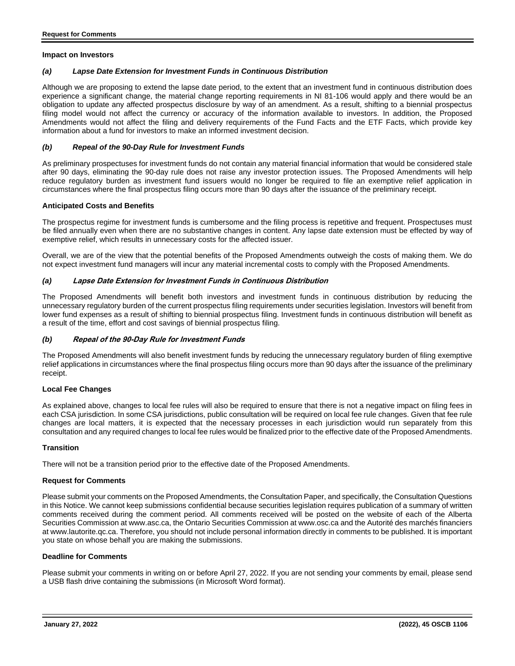#### **Impact on Investors**

# *(a) Lapse Date Extension for Investment Funds in Continuous Distribution*

Although we are proposing to extend the lapse date period, to the extent that an investment fund in continuous distribution does experience a significant change, the material change reporting requirements in NI 81-106 would apply and there would be an obligation to update any affected prospectus disclosure by way of an amendment. As a result, shifting to a biennial prospectus filing model would not affect the currency or accuracy of the information available to investors. In addition, the Proposed Amendments would not affect the filing and delivery requirements of the Fund Facts and the ETF Facts, which provide key information about a fund for investors to make an informed investment decision.

# *(b) Repeal of the 90-Day Rule for Investment Funds*

As preliminary prospectuses for investment funds do not contain any material financial information that would be considered stale after 90 days, eliminating the 90-day rule does not raise any investor protection issues. The Proposed Amendments will help reduce regulatory burden as investment fund issuers would no longer be required to file an exemptive relief application in circumstances where the final prospectus filing occurs more than 90 days after the issuance of the preliminary receipt.

#### **Anticipated Costs and Benefits**

The prospectus regime for investment funds is cumbersome and the filing process is repetitive and frequent. Prospectuses must be filed annually even when there are no substantive changes in content. Any lapse date extension must be effected by way of exemptive relief, which results in unnecessary costs for the affected issuer.

Overall, we are of the view that the potential benefits of the Proposed Amendments outweigh the costs of making them. We do not expect investment fund managers will incur any material incremental costs to comply with the Proposed Amendments.

#### *(a)* **Lapse Date Extension for Investment Funds in Continuous Distribution**

The Proposed Amendments will benefit both investors and investment funds in continuous distribution by reducing the unnecessary regulatory burden of the current prospectus filing requirements under securities legislation. Investors will benefit from lower fund expenses as a result of shifting to biennial prospectus filing. Investment funds in continuous distribution will benefit as a result of the time, effort and cost savings of biennial prospectus filing.

# *(b)* **Repeal of the 90-Day Rule for Investment Funds**

The Proposed Amendments will also benefit investment funds by reducing the unnecessary regulatory burden of filing exemptive relief applications in circumstances where the final prospectus filing occurs more than 90 days after the issuance of the preliminary receipt.

#### **Local Fee Changes**

As explained above, changes to local fee rules will also be required to ensure that there is not a negative impact on filing fees in each CSA jurisdiction. In some CSA jurisdictions, public consultation will be required on local fee rule changes. Given that fee rule changes are local matters, it is expected that the necessary processes in each jurisdiction would run separately from this consultation and any required changes to local fee rules would be finalized prior to the effective date of the Proposed Amendments.

#### **Transition**

There will not be a transition period prior to the effective date of the Proposed Amendments.

# **Request for Comments**

Please submit your comments on the Proposed Amendments, the Consultation Paper, and specifically, the Consultation Questions in this Notice. We cannot keep submissions confidential because securities legislation requires publication of a summary of written comments received during the comment period. All comments received will be posted on the website of each of the Alberta Securities Commission at www.asc.ca, the Ontario Securities Commission at [www.osc.ca](http://www.osc.ca/) and the Autorité des marchés financiers at www.lautorite.qc.ca. Therefore, you should not include personal information directly in comments to be published. It is important you state on whose behalf you are making the submissions.

# **Deadline for Comments**

Please submit your comments in writing on or before April 27, 2022. If you are not sending your comments by email, please send a USB flash drive containing the submissions (in Microsoft Word format).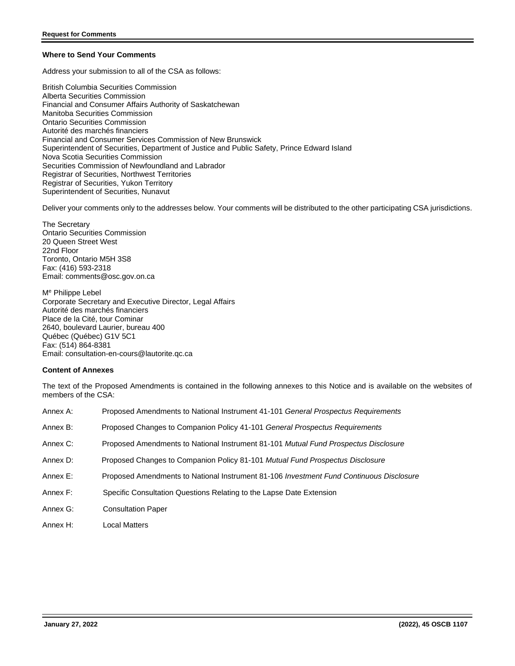# **Where to Send Your Comments**

Address your submission to all of the CSA as follows:

British Columbia Securities Commission Alberta Securities Commission Financial and Consumer Affairs Authority of Saskatchewan Manitoba Securities Commission Ontario Securities Commission Autorité des marchés financiers Financial and Consumer Services Commission of New Brunswick Superintendent of Securities, Department of Justice and Public Safety, Prince Edward Island Nova Scotia Securities Commission Securities Commission of Newfoundland and Labrador Registrar of Securities, Northwest Territories Registrar of Securities, Yukon Territory Superintendent of Securities, Nunavut

Deliver your comments only to the addresses below. Your comments will be distributed to the other participating CSA jurisdictions.

The Secretary Ontario Securities Commission 20 Queen Street West 22nd Floor Toronto, Ontario M5H 3S8 Fax: (416) 593-2318 Email: [comments@osc.gov.on.ca](mailto:comments@osc.gov.on.ca)

M<sup>e</sup> Philippe Lebel Corporate Secretary and Executive Director, Legal Affairs Autorité des marchés financiers Place de la Cité, tour Cominar 2640, boulevard Laurier, bureau 400 Québec (Québec) G1V 5C1 Fax: (514) 864-8381 Email: consultation-en-cours@lautorite.qc.ca

# **Content of Annexes**

The text of the Proposed Amendments is contained in the following annexes to this Notice and is available on the websites of members of the CSA:

| Annex A: | Proposed Amendments to National Instrument 41-101 General Prospectus Requirements       |
|----------|-----------------------------------------------------------------------------------------|
| Annex B: | Proposed Changes to Companion Policy 41-101 General Prospectus Requirements             |
| Annex C: | Proposed Amendments to National Instrument 81-101 Mutual Fund Prospectus Disclosure     |
| Annex D: | Proposed Changes to Companion Policy 81-101 Mutual Fund Prospectus Disclosure           |
| Annex E: | Proposed Amendments to National Instrument 81-106 Investment Fund Continuous Disclosure |
| Annex F: | Specific Consultation Questions Relating to the Lapse Date Extension                    |
| Annex G: | <b>Consultation Paper</b>                                                               |
| Annex H: | Local Matters                                                                           |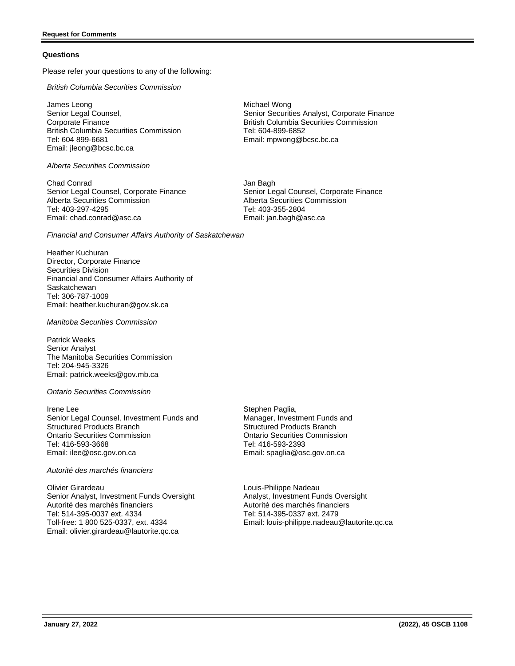#### **Questions**

Please refer your questions to any of the following:

*British Columbia Securities Commission*

James Leong Senior Legal Counsel, Corporate Finance British Columbia Securities Commission Tel: 604 899-6681 Email: [jleong@bcsc.bc.ca](mailto:jleong@bcsc.bc.ca)

*Alberta Securities Commission*

Chad Conrad Senior Legal Counsel, Corporate Finance Alberta Securities Commission Tel: 403-297-4295 Email: chad.conrad@asc.ca

*Financial and Consumer Affairs Authority of Saskatchewan*

Heather Kuchuran Director, Corporate Finance Securities Division Financial and Consumer Affairs Authority of **Saskatchewan** Tel: 306-787-1009 Email: heather.kuchuran@gov.sk.ca

*Manitoba Securities Commission*

Patrick Weeks Senior Analyst The Manitoba Securities Commission Tel: 204-945-3326 Email: patrick.weeks@gov.mb.ca

*Ontario Securities Commission*

Irene Lee Senior Legal Counsel, Investment Funds and Structured Products Branch Ontario Securities Commission Tel: 416-593-3668 Email: ilee@osc.gov.on.ca

*Autorité des marchés financiers*

Olivier Girardeau Senior Analyst, Investment Funds Oversight Autorité des marchés financiers Tel: 514-395-0037 ext. 4334 Toll-free: 1 800 525-0337, ext. 4334 Email: olivier.girardeau@lautorite.qc.ca

Michael Wong Senior Securities Analyst, Corporate Finance British Columbia Securities Commission Tel: 604-899-6852 Email: [mpwong@bcsc.bc.ca](mailto:mpwong@bcsc.bc.ca)

Jan Bagh Senior Legal Counsel, Corporate Finance Alberta Securities Commission Tel: 403-355-2804 Email: jan.bagh@asc.ca

Stephen Paglia, Manager, Investment Funds and Structured Products Branch Ontario Securities Commission Tel: 416-593-2393 Email: spaglia@osc.gov.on.ca

Louis-Philippe Nadeau Analyst, Investment Funds Oversight Autorité des marchés financiers Tel: 514-395-0337 ext. 2479 Email: louis-philippe.nadeau@lautorite.qc.ca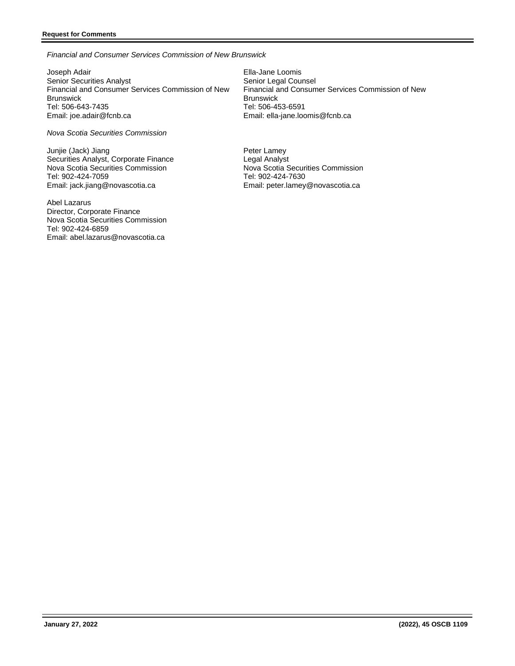# **Request for Comments**

*Financial and Consumer Services Commission of New Brunswick*

Joseph Adair Senior Securities Analyst Financial and Consumer Services Commission of New Brunswick Tel: 506-643-7435 Email: joe.adair@fcnb.ca

*Nova Scotia Securities Commission*

Junjie (Jack) Jiang Securities Analyst, Corporate Finance Nova Scotia Securities Commission Tel: 902-424-7059 Email: jack.jiang@novascotia.ca

Abel Lazarus Director, Corporate Finance Nova Scotia Securities Commission Tel: 902-424-6859 Email: abel.lazarus@novascotia.ca

Ella-Jane Loomis Senior Legal Counsel Financial and Consumer Services Commission of New **Brunswick** Tel: 506-453-6591 Email: [ella-jane.loomis@fcnb.ca](mailto:ella-jane.loomis@fcnb.ca)

Peter Lamey Legal Analyst Nova Scotia Securities Commission Tel: 902-424-7630 Email: peter.lamey@novascotia.ca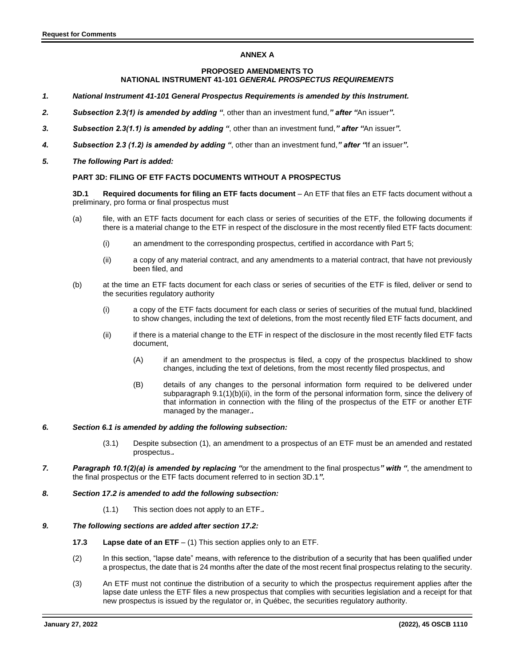# **ANNEX A**

#### **PROPOSED AMENDMENTS TO NATIONAL INSTRUMENT 41-101** *GENERAL PROSPECTUS REQUIREMENTS*

- *1. National Instrument 41-101 General Prospectus Requirements is amended by this Instrument.*
- *2. Subsection 2.3(1) is amended by adding "*, other than an investment fund,*" after "*An issuer*".*
- *3. Subsection 2.3(1.1) is amended by adding "*, other than an investment fund,*" after "*An issuer*".*
- *4. Subsection 2.3 (1.2) is amended by adding "*, other than an investment fund,*" after "*If an issuer*".*
- *5. The following Part is added:*

#### **PART 3D: FILING OF ETF FACTS DOCUMENTS WITHOUT A PROSPECTUS**

**3D.1** Required documents for filing an ETF facts document – An ETF that files an ETF facts document without a preliminary, pro forma or final prospectus must

- (a) file, with an ETF facts document for each class or series of securities of the ETF, the following documents if there is a material change to the ETF in respect of the disclosure in the most recently filed ETF facts document:
	- (i) an amendment to the corresponding prospectus, certified in accordance with Part 5;
	- (ii) a copy of any material contract, and any amendments to a material contract, that have not previously been filed, and
- (b) at the time an ETF facts document for each class or series of securities of the ETF is filed, deliver or send to the securities regulatory authority
	- (i) a copy of the ETF facts document for each class or series of securities of the mutual fund, blacklined to show changes, including the text of deletions, from the most recently filed ETF facts document, and
	- (ii) if there is a material change to the ETF in respect of the disclosure in the most recently filed ETF facts document,
		- (A) if an amendment to the prospectus is filed, a copy of the prospectus blacklined to show changes, including the text of deletions, from the most recently filed prospectus, and
		- (B) details of any changes to the personal information form required to be delivered under subparagraph 9.1(1)(b)(ii), in the form of the personal information form, since the delivery of that information in connection with the filing of the prospectus of the ETF or another ETF managed by the manager.*.*

#### *6. Section 6.1 is amended by adding the following subsection:*

- (3.1) Despite subsection (1), an amendment to a prospectus of an ETF must be an amended and restated prospectus.*.*
- *7. Paragraph 10.1(2)(a) is amended by replacing "*or the amendment to the final prospectus*" with "*, the amendment to the final prospectus or the ETF facts document referred to in section 3D.1*".*
- *8. Section 17.2 is amended to add the following subsection:*
	- (1.1) This section does not apply to an ETF.*.*

#### *9. The following sections are added after section 17.2:*

- **17.3 Lapse date of an ETF** (1) This section applies only to an ETF.
- (2) In this section, "lapse date" means, with reference to the distribution of a security that has been qualified under a prospectus, the date that is 24 months after the date of the most recent final prospectus relating to the security.
- (3) An ETF must not continue the distribution of a security to which the prospectus requirement applies after the lapse date unless the ETF files a new prospectus that complies with securities legislation and a receipt for that new prospectus is issued by the regulator or, in Québec, the securities regulatory authority.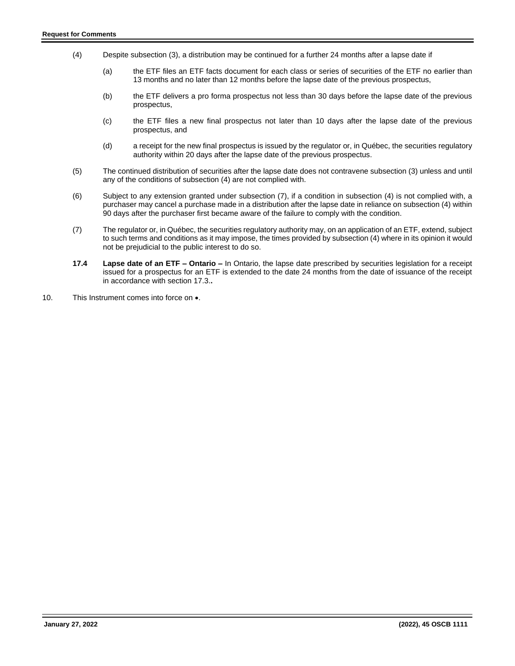- (4) Despite subsection (3), a distribution may be continued for a further 24 months after a lapse date if
	- (a) the ETF files an ETF facts document for each class or series of securities of the ETF no earlier than 13 months and no later than 12 months before the lapse date of the previous prospectus,
	- (b) the ETF delivers a pro forma prospectus not less than 30 days before the lapse date of the previous prospectus,
	- (c) the ETF files a new final prospectus not later than 10 days after the lapse date of the previous prospectus, and
	- (d) a receipt for the new final prospectus is issued by the regulator or, in Québec, the securities regulatory authority within 20 days after the lapse date of the previous prospectus.
- (5) The continued distribution of securities after the lapse date does not contravene subsection (3) unless and until any of the conditions of subsection (4) are not complied with.
- (6) Subject to any extension granted under subsection (7), if a condition in subsection (4) is not complied with, a purchaser may cancel a purchase made in a distribution after the lapse date in reliance on subsection (4) within 90 days after the purchaser first became aware of the failure to comply with the condition.
- (7) The regulator or, in Québec, the securities regulatory authority may, on an application of an ETF, extend, subject to such terms and conditions as it may impose, the times provided by subsection (4) where in its opinion it would not be prejudicial to the public interest to do so.
- **17.4 Lapse date of an ETF – Ontario –** In Ontario, the lapse date prescribed by securities legislation for a receipt issued for a prospectus for an ETF is extended to the date 24 months from the date of issuance of the receipt in accordance with section 17.3.**.**
- 10. This Instrument comes into force on  $\bullet$ .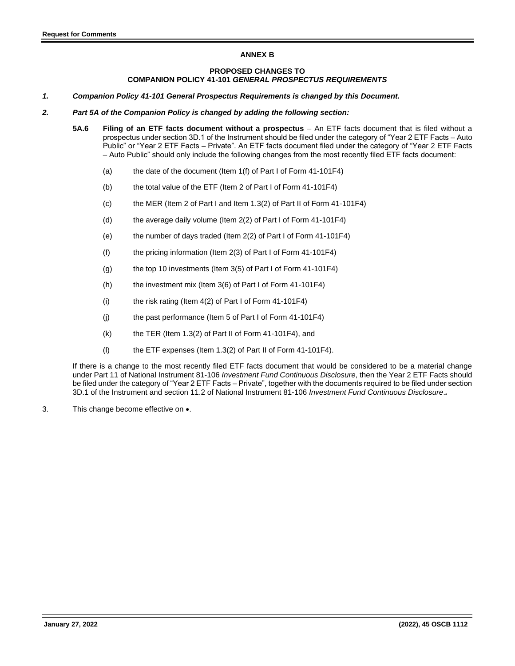# **ANNEX B**

#### **PROPOSED CHANGES TO COMPANION POLICY 41-101** *GENERAL PROSPECTUS REQUIREMENTS*

- *1. Companion Policy 41-101 General Prospectus Requirements is changed by this Document.*
- *2. Part 5A of the Companion Policy is changed by adding the following section:*
	- **5A.6 Filing of an ETF facts document without a prospectus** An ETF facts document that is filed without a prospectus under section 3D.1 of the Instrument should be filed under the category of "Year 2 ETF Facts – Auto Public" or "Year 2 ETF Facts – Private". An ETF facts document filed under the category of "Year 2 ETF Facts – Auto Public" should only include the following changes from the most recently filed ETF facts document:
		- (a) the date of the document (Item 1(f) of Part I of Form 41-101F4)
		- (b) the total value of the ETF (Item 2 of Part I of Form 41-101F4)
		- (c) the MER (Item 2 of Part I and Item 1.3(2) of Part II of Form 41-101F4)
		- (d) the average daily volume (Item 2(2) of Part I of Form 41-101F4)
		- (e) the number of days traded (Item 2(2) of Part I of Form 41-101F4)
		- (f) the pricing information (Item 2(3) of Part I of Form 41-101F4)
		- (g) the top 10 investments (Item 3(5) of Part I of Form 41-101F4)
		- (h) the investment mix (Item 3(6) of Part I of Form 41-101F4)
		- (i) the risk rating (Item 4(2) of Part I of Form 41-101F4)
		- (j) the past performance (Item 5 of Part I of Form 41-101F4)
		- $(k)$  the TER (Item 1.3(2) of Part II of Form 41-101F4), and
		- (l) the ETF expenses (Item 1.3(2) of Part II of Form 41-101F4).

If there is a change to the most recently filed ETF facts document that would be considered to be a material change under Part 11 of National Instrument 81-106 *Investment Fund Continuous Disclosure*, then the Year 2 ETF Facts should be filed under the category of "Year 2 ETF Facts – Private", together with the documents required to be filed under section 3D.1 of the Instrument and section 11.2 of National Instrument 81-106 *Investment Fund Continuous Disclosure*.*.*

3. This change become effective on •.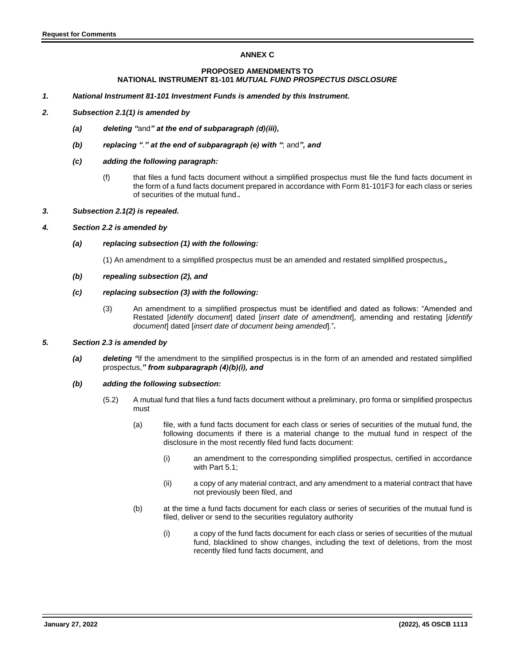# **ANNEX C**

# **PROPOSED AMENDMENTS TO NATIONAL INSTRUMENT 81-101** *MUTUAL FUND PROSPECTUS DISCLOSURE*

*1. National Instrument 81-101 Investment Funds is amended by this Instrument.*

# *2. Subsection 2.1(1) is amended by*

- *(a) deleting "*and*" at the end of subparagraph (d)(iii),*
- *(b) replacing "*.*" at the end of subparagraph (e) with "*; and*", and*
- *(c) adding the following paragraph:*
	- (f) that files a fund facts document without a simplified prospectus must file the fund facts document in the form of a fund facts document prepared in accordance with Form 81-101F3 for each class or series of securities of the mutual fund.*.*
- *3. Subsection 2.1(2) is repealed.*

#### *4. Section 2.2 is amended by*

#### *(a) replacing subsection (1) with the following:*

(1) An amendment to a simplified prospectus must be an amended and restated simplified prospectus,*,*

*(b) repealing subsection (2), and*

#### *(c) replacing subsection (3) with the following:*

(3) An amendment to a simplified prospectus must be identified and dated as follows: "Amended and Restated [*identify document*] dated [*insert date of amendment*], amending and restating [*identify document*] dated [*insert date of document being amended*]."*.*

# *5. Section 2.3 is amended by*

- *(a) deleting "*if the amendment to the simplified prospectus is in the form of an amended and restated simplified prospectus,*" from subparagraph (4)(b)(i), and*
- *(b) adding the following subsection:*
	- (5.2) A mutual fund that files a fund facts document without a preliminary, pro forma or simplified prospectus must
		- (a) file, with a fund facts document for each class or series of securities of the mutual fund, the following documents if there is a material change to the mutual fund in respect of the disclosure in the most recently filed fund facts document:
			- (i) an amendment to the corresponding simplified prospectus, certified in accordance with Part 5.1;
			- (ii) a copy of any material contract, and any amendment to a material contract that have not previously been filed, and
		- (b) at the time a fund facts document for each class or series of securities of the mutual fund is filed, deliver or send to the securities regulatory authority
			- (i) a copy of the fund facts document for each class or series of securities of the mutual fund, blacklined to show changes, including the text of deletions, from the most recently filed fund facts document, and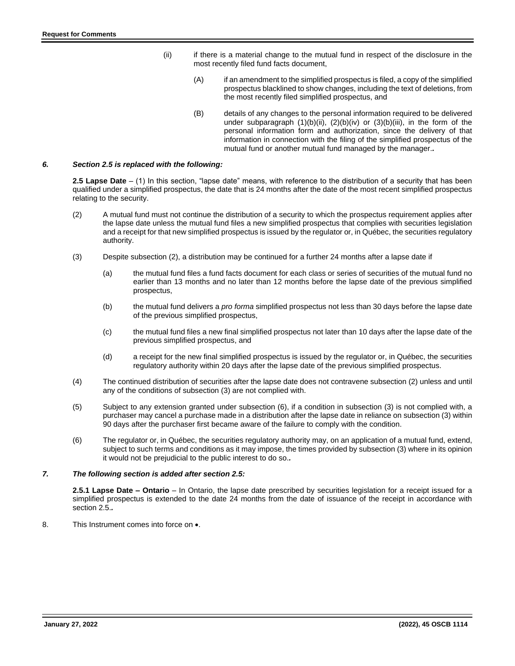- (ii) if there is a material change to the mutual fund in respect of the disclosure in the most recently filed fund facts document,
	- (A) if an amendment to the simplified prospectus is filed, a copy of the simplified prospectus blacklined to show changes, including the text of deletions, from the most recently filed simplified prospectus, and
	- (B) details of any changes to the personal information required to be delivered under subparagraph  $(1)(b)(ii)$ ,  $(2)(b)(iv)$  or  $(3)(b)(iii)$ , in the form of the personal information form and authorization, since the delivery of that information in connection with the filing of the simplified prospectus of the mutual fund or another mutual fund managed by the manager.*.*

#### *6. Section 2.5 is replaced with the following:*

**2.5 Lapse Date** – (1) In this section, "lapse date" means, with reference to the distribution of a security that has been qualified under a simplified prospectus, the date that is 24 months after the date of the most recent simplified prospectus relating to the security.

- (2) A mutual fund must not continue the distribution of a security to which the prospectus requirement applies after the lapse date unless the mutual fund files a new simplified prospectus that complies with securities legislation and a receipt for that new simplified prospectus is issued by the regulator or, in Québec, the securities regulatory authority.
- (3) Despite subsection (2), a distribution may be continued for a further 24 months after a lapse date if
	- (a) the mutual fund files a fund facts document for each class or series of securities of the mutual fund no earlier than 13 months and no later than 12 months before the lapse date of the previous simplified prospectus,
	- (b) the mutual fund delivers a *pro forma* simplified prospectus not less than 30 days before the lapse date of the previous simplified prospectus,
	- (c) the mutual fund files a new final simplified prospectus not later than 10 days after the lapse date of the previous simplified prospectus, and
	- (d) a receipt for the new final simplified prospectus is issued by the regulator or, in Québec, the securities regulatory authority within 20 days after the lapse date of the previous simplified prospectus.
- (4) The continued distribution of securities after the lapse date does not contravene subsection (2) unless and until any of the conditions of subsection (3) are not complied with.
- (5) Subject to any extension granted under subsection (6), if a condition in subsection (3) is not complied with, a purchaser may cancel a purchase made in a distribution after the lapse date in reliance on subsection (3) within 90 days after the purchaser first became aware of the failure to comply with the condition.
- (6) The regulator or, in Québec, the securities regulatory authority may, on an application of a mutual fund, extend, subject to such terms and conditions as it may impose, the times provided by subsection (3) where in its opinion it would not be prejudicial to the public interest to do so.*.*

# *7. The following section is added after section 2.5:*

**2.5.1 Lapse Date – Ontario** – In Ontario, the lapse date prescribed by securities legislation for a receipt issued for a simplified prospectus is extended to the date 24 months from the date of issuance of the receipt in accordance with section 2.5.*.*

8. This Instrument comes into force on  $\bullet$ .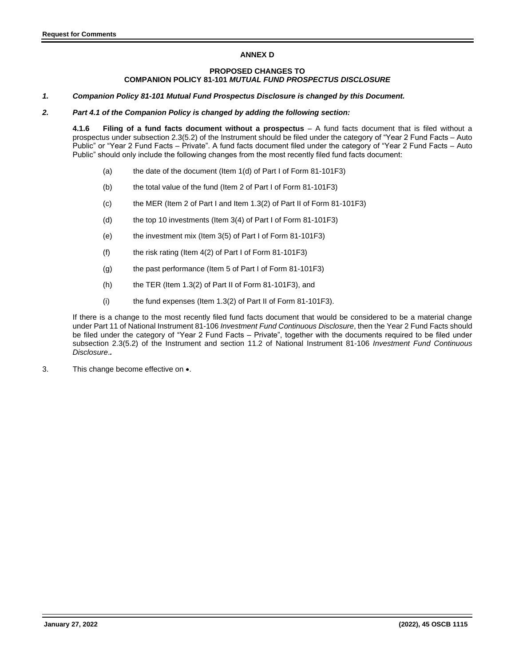# **ANNEX D**

# **PROPOSED CHANGES TO COMPANION POLICY 81-101** *MUTUAL FUND PROSPECTUS DISCLOSURE*

*1. Companion Policy 81-101 Mutual Fund Prospectus Disclosure is changed by this Document.*

#### *2. Part 4.1 of the Companion Policy is changed by adding the following section:*

**4.1.6 Filing of a fund facts document without a prospectus** – A fund facts document that is filed without a prospectus under subsection 2.3(5.2) of the Instrument should be filed under the category of "Year 2 Fund Facts – Auto Public" or "Year 2 Fund Facts – Private". A fund facts document filed under the category of "Year 2 Fund Facts – Auto Public" should only include the following changes from the most recently filed fund facts document:

- (a) the date of the document (Item 1(d) of Part I of Form 81-101F3)
- (b) the total value of the fund (Item 2 of Part I of Form 81-101F3)
- (c) the MER (Item 2 of Part I and Item 1.3(2) of Part II of Form 81-101F3)
- (d) the top 10 investments (Item 3(4) of Part I of Form 81-101F3)
- (e) the investment mix (Item 3(5) of Part I of Form 81-101F3)
- (f) the risk rating (Item 4(2) of Part I of Form 81-101F3)
- (g) the past performance (Item 5 of Part I of Form 81-101F3)
- $(h)$  the TER (Item 1.3(2) of Part II of Form 81-101F3), and
- (i) the fund expenses (Item 1.3(2) of Part II of Form 81-101F3).

If there is a change to the most recently filed fund facts document that would be considered to be a material change under Part 11 of National Instrument 81-106 *Investment Fund Continuous Disclosure*, then the Year 2 Fund Facts should be filed under the category of "Year 2 Fund Facts – Private", together with the documents required to be filed under subsection 2.3(5.2) of the Instrument and section 11.2 of National Instrument 81-106 *Investment Fund Continuous Disclosure*.*.*

3. This change become effective on •.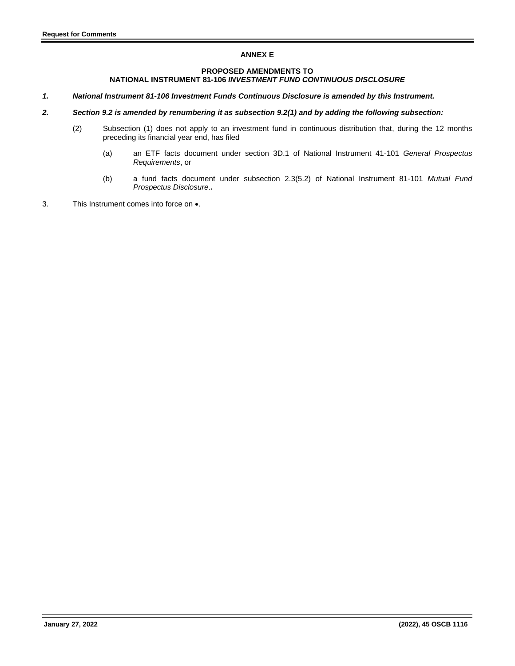# **ANNEX E**

# **PROPOSED AMENDMENTS TO NATIONAL INSTRUMENT 81-106** *INVESTMENT FUND CONTINUOUS DISCLOSURE*

- *1. National Instrument 81-106 Investment Funds Continuous Disclosure is amended by this Instrument.*
- *2. Section 9.2 is amended by renumbering it as subsection 9.2(1) and by adding the following subsection:* 
	- (2) Subsection (1) does not apply to an investment fund in continuous distribution that, during the 12 months preceding its financial year end, has filed
		- (a) an ETF facts document under section 3D.1 of National Instrument 41-101 *General Prospectus Requirements*, or
		- (b) a fund facts document under subsection 2.3(5.2) of National Instrument 81-101 *Mutual Fund Prospectus Disclosure*.**.**
- 3. This Instrument comes into force on •.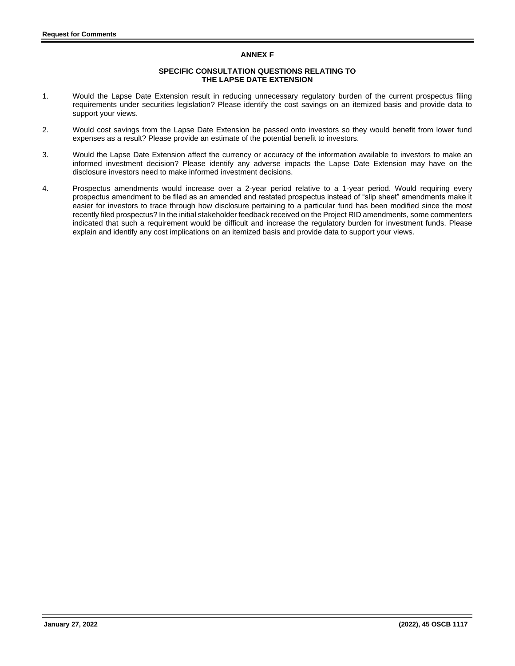# **ANNEX F**

#### **SPECIFIC CONSULTATION QUESTIONS RELATING TO THE LAPSE DATE EXTENSION**

- 1. Would the Lapse Date Extension result in reducing unnecessary regulatory burden of the current prospectus filing requirements under securities legislation? Please identify the cost savings on an itemized basis and provide data to support your views.
- 2. Would cost savings from the Lapse Date Extension be passed onto investors so they would benefit from lower fund expenses as a result? Please provide an estimate of the potential benefit to investors.
- 3. Would the Lapse Date Extension affect the currency or accuracy of the information available to investors to make an informed investment decision? Please identify any adverse impacts the Lapse Date Extension may have on the disclosure investors need to make informed investment decisions.
- 4. Prospectus amendments would increase over a 2-year period relative to a 1-year period. Would requiring every prospectus amendment to be filed as an amended and restated prospectus instead of "slip sheet" amendments make it easier for investors to trace through how disclosure pertaining to a particular fund has been modified since the most recently filed prospectus? In the initial stakeholder feedback received on the Project RID amendments, some commenters indicated that such a requirement would be difficult and increase the regulatory burden for investment funds. Please explain and identify any cost implications on an itemized basis and provide data to support your views.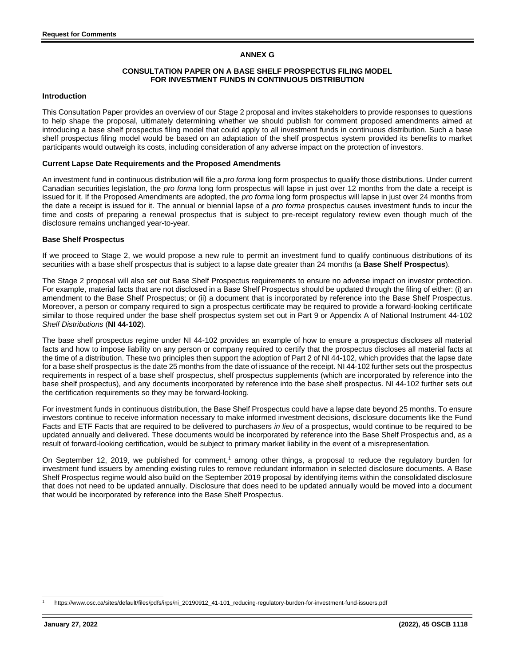# **ANNEX G**

# **CONSULTATION PAPER ON A BASE SHELF PROSPECTUS FILING MODEL FOR INVESTMENT FUNDS IN CONTINUOUS DISTRIBUTION**

#### **Introduction**

This Consultation Paper provides an overview of our Stage 2 proposal and invites stakeholders to provide responses to questions to help shape the proposal, ultimately determining whether we should publish for comment proposed amendments aimed at introducing a base shelf prospectus filing model that could apply to all investment funds in continuous distribution. Such a base shelf prospectus filing model would be based on an adaptation of the shelf prospectus system provided its benefits to market participants would outweigh its costs, including consideration of any adverse impact on the protection of investors.

#### **Current Lapse Date Requirements and the Proposed Amendments**

An investment fund in continuous distribution will file a *pro forma* long form prospectus to qualify those distributions. Under current Canadian securities legislation, the *pro forma* long form prospectus will lapse in just over 12 months from the date a receipt is issued for it. If the Proposed Amendments are adopted, the *pro forma* long form prospectus will lapse in just over 24 months from the date a receipt is issued for it. The annual or biennial lapse of a *pro forma* prospectus causes investment funds to incur the time and costs of preparing a renewal prospectus that is subject to pre-receipt regulatory review even though much of the disclosure remains unchanged year-to-year.

#### **Base Shelf Prospectus**

If we proceed to Stage 2, we would propose a new rule to permit an investment fund to qualify continuous distributions of its securities with a base shelf prospectus that is subject to a lapse date greater than 24 months (a **Base Shelf Prospectus**).

The Stage 2 proposal will also set out Base Shelf Prospectus requirements to ensure no adverse impact on investor protection. For example, material facts that are not disclosed in a Base Shelf Prospectus should be updated through the filing of either: (i) an amendment to the Base Shelf Prospectus; or (ii) a document that is incorporated by reference into the Base Shelf Prospectus. Moreover, a person or company required to sign a prospectus certificate may be required to provide a forward-looking certificate similar to those required under the base shelf prospectus system set out in Part 9 or Appendix A of National Instrument 44-102 *Shelf Distributions* (**NI 44-102**).

The base shelf prospectus regime under NI 44-102 provides an example of how to ensure a prospectus discloses all material facts and how to impose liability on any person or company required to certify that the prospectus discloses all material facts at the time of a distribution. These two principles then support the adoption of Part 2 of NI 44-102, which provides that the lapse date for a base shelf prospectus is the date 25 months from the date of issuance of the receipt. NI 44-102 further sets out the prospectus requirements in respect of a base shelf prospectus, shelf prospectus supplements (which are incorporated by reference into the base shelf prospectus), and any documents incorporated by reference into the base shelf prospectus. NI 44-102 further sets out the certification requirements so they may be forward-looking.

For investment funds in continuous distribution, the Base Shelf Prospectus could have a lapse date beyond 25 months. To ensure investors continue to receive information necessary to make informed investment decisions, disclosure documents like the Fund Facts and ETF Facts that are required to be delivered to purchasers *in lieu* of a prospectus, would continue to be required to be updated annually and delivered. These documents would be incorporated by reference into the Base Shelf Prospectus and, as a result of forward-looking certification, would be subject to primary market liability in the event of a misrepresentation.

On September 12, 2019, we published for comment,<sup>1</sup> among other things, a proposal to reduce the regulatory burden for investment fund issuers by amending existing rules to remove redundant information in selected disclosure documents. A Base Shelf Prospectus regime would also build on the September 2019 proposal by identifying items within the consolidated disclosure that does not need to be updated annually. Disclosure that does need to be updated annually would be moved into a document that would be incorporated by reference into the Base Shelf Prospectus.

<sup>1</sup> https://www.osc.ca/sites/default/files/pdfs/irps/ni\_20190912\_41-101\_reducing-regulatory-burden-for-investment-fund-issuers.pdf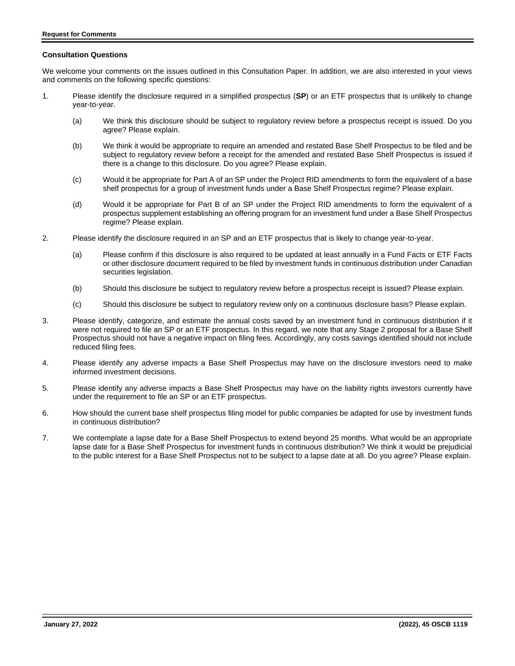#### **Consultation Questions**

We welcome your comments on the issues outlined in this Consultation Paper. In addition, we are also interested in your views and comments on the following specific questions:

- 1. Please identify the disclosure required in a simplified prospectus (**SP**) or an ETF prospectus that is unlikely to change year-to-year.
	- (a) We think this disclosure should be subject to regulatory review before a prospectus receipt is issued. Do you agree? Please explain.
	- (b) We think it would be appropriate to require an amended and restated Base Shelf Prospectus to be filed and be subject to regulatory review before a receipt for the amended and restated Base Shelf Prospectus is issued if there is a change to this disclosure. Do you agree? Please explain.
	- (c) Would it be appropriate for Part A of an SP under the Project RID amendments to form the equivalent of a base shelf prospectus for a group of investment funds under a Base Shelf Prospectus regime? Please explain.
	- (d) Would it be appropriate for Part B of an SP under the Project RID amendments to form the equivalent of a prospectus supplement establishing an offering program for an investment fund under a Base Shelf Prospectus regime? Please explain.
- 2. Please identify the disclosure required in an SP and an ETF prospectus that is likely to change year-to-year.
	- (a) Please confirm if this disclosure is also required to be updated at least annually in a Fund Facts or ETF Facts or other disclosure document required to be filed by investment funds in continuous distribution under Canadian securities legislation.
	- (b) Should this disclosure be subject to regulatory review before a prospectus receipt is issued? Please explain.
	- (c) Should this disclosure be subject to regulatory review only on a continuous disclosure basis? Please explain.
- 3. Please identify, categorize, and estimate the annual costs saved by an investment fund in continuous distribution if it were not required to file an SP or an ETF prospectus. In this regard, we note that any Stage 2 proposal for a Base Shelf Prospectus should not have a negative impact on filing fees. Accordingly, any costs savings identified should not include reduced filing fees.
- 4. Please identify any adverse impacts a Base Shelf Prospectus may have on the disclosure investors need to make informed investment decisions.
- 5. Please identify any adverse impacts a Base Shelf Prospectus may have on the liability rights investors currently have under the requirement to file an SP or an ETF prospectus.
- 6. How should the current base shelf prospectus filing model for public companies be adapted for use by investment funds in continuous distribution?
- 7. We contemplate a lapse date for a Base Shelf Prospectus to extend beyond 25 months. What would be an appropriate lapse date for a Base Shelf Prospectus for investment funds in continuous distribution? We think it would be prejudicial to the public interest for a Base Shelf Prospectus not to be subject to a lapse date at all. Do you agree? Please explain.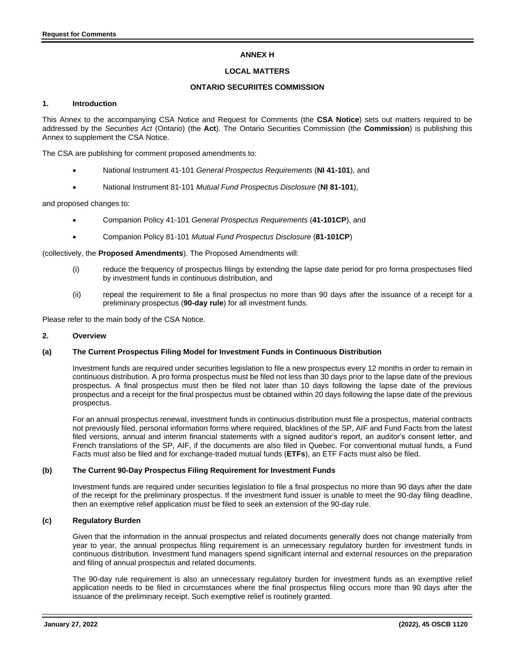# **ANNEX H**

#### **LOCAL MATTERS**

# **ONTARIO SECURIITES COMMISSION**

#### **1. Introduction**

This Annex to the accompanying CSA Notice and Request for Comments (the **CSA Notice**) sets out matters required to be addressed by the *Securities Act* (Ontario) (the **Act**). The Ontario Securities Commission (the **Commission**) is publishing this Annex to supplement the CSA Notice.

The CSA are publishing for comment proposed amendments to:

- National Instrument 41-101 *General Prospectus Requirements* (**NI 41-101**), and
- National Instrument 81-101 *Mutual Fund Prospectus Disclosure* (**NI 81-101**),

and proposed changes to:

- Companion Policy 41-101 *General Prospectus Requirements* (**41-101CP**), and
- Companion Policy 81-101 *Mutual Fund Prospectus Disclosure* (**81-101CP**)

(collectively, the **Proposed Amendments**). The Proposed Amendments will:

- (i) reduce the frequency of prospectus filings by extending the lapse date period for pro forma prospectuses filed by investment funds in continuous distribution, and
- (ii) repeal the requirement to file a final prospectus no more than 90 days after the issuance of a receipt for a preliminary prospectus (**90-day rule**) for all investment funds.

Please refer to the main body of the CSA Notice.

#### **2. Overview**

#### **(a) The Current Prospectus Filing Model for Investment Funds in Continuous Distribution**

Investment funds are required under securities legislation to file a new prospectus every 12 months in order to remain in continuous distribution. A pro forma prospectus must be filed not less than 30 days prior to the lapse date of the previous prospectus. A final prospectus must then be filed not later than 10 days following the lapse date of the previous prospectus and a receipt for the final prospectus must be obtained within 20 days following the lapse date of the previous prospectus.

For an annual prospectus renewal, investment funds in continuous distribution must file a prospectus, material contracts not previously filed, personal information forms where required, blacklines of the SP, AIF and Fund Facts from the latest filed versions, annual and interim financial statements with a signed auditor's report, an auditor's consent letter, and French translations of the SP, AIF, if the documents are also filed in Quebec. For conventional mutual funds, a Fund Facts must also be filed and for exchange-traded mutual funds (**ETFs**), an ETF Facts must also be filed.

#### **(b) The Current 90-Day Prospectus Filing Requirement for Investment Funds**

Investment funds are required under securities legislation to file a final prospectus no more than 90 days after the date of the receipt for the preliminary prospectus. If the investment fund issuer is unable to meet the 90-day filing deadline, then an exemptive relief application must be filed to seek an extension of the 90-day rule.

#### **(c) Regulatory Burden**

Given that the information in the annual prospectus and related documents generally does not change materially from year to year, the annual prospectus filing requirement is an unnecessary regulatory burden for investment funds in continuous distribution. Investment fund managers spend significant internal and external resources on the preparation and filing of annual prospectus and related documents.

The 90-day rule requirement is also an unnecessary regulatory burden for investment funds as an exemptive relief application needs to be filed in circumstances where the final prospectus filing occurs more than 90 days after the issuance of the preliminary receipt. Such exemptive relief is routinely granted.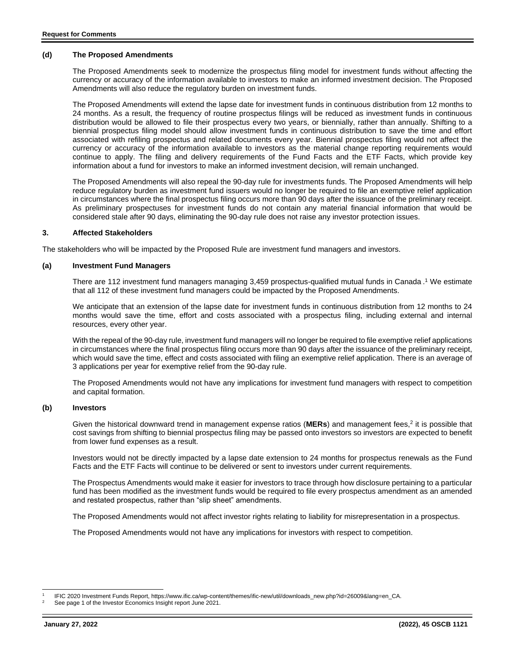# **(d) The Proposed Amendments**

The Proposed Amendments seek to modernize the prospectus filing model for investment funds without affecting the currency or accuracy of the information available to investors to make an informed investment decision. The Proposed Amendments will also reduce the regulatory burden on investment funds.

The Proposed Amendments will extend the lapse date for investment funds in continuous distribution from 12 months to 24 months. As a result, the frequency of routine prospectus filings will be reduced as investment funds in continuous distribution would be allowed to file their prospectus every two years, or biennially, rather than annually. Shifting to a biennial prospectus filing model should allow investment funds in continuous distribution to save the time and effort associated with refiling prospectus and related documents every year. Biennial prospectus filing would not affect the currency or accuracy of the information available to investors as the material change reporting requirements would continue to apply. The filing and delivery requirements of the Fund Facts and the ETF Facts, which provide key information about a fund for investors to make an informed investment decision, will remain unchanged.

The Proposed Amendments will also repeal the 90-day rule for investments funds. The Proposed Amendments will help reduce regulatory burden as investment fund issuers would no longer be required to file an exemptive relief application in circumstances where the final prospectus filing occurs more than 90 days after the issuance of the preliminary receipt. As preliminary prospectuses for investment funds do not contain any material financial information that would be considered stale after 90 days, eliminating the 90-day rule does not raise any investor protection issues.

#### **3. Affected Stakeholders**

The stakeholders who will be impacted by the Proposed Rule are investment fund managers and investors.

#### **(a) Investment Fund Managers**

There are 112 investment fund managers managing 3,459 prospectus-qualified mutual funds in Canada . <sup>1</sup> We estimate that all 112 of these investment fund managers could be impacted by the Proposed Amendments.

We anticipate that an extension of the lapse date for investment funds in continuous distribution from 12 months to 24 months would save the time, effort and costs associated with a prospectus filing, including external and internal resources, every other year.

With the repeal of the 90-day rule, investment fund managers will no longer be required to file exemptive relief applications in circumstances where the final prospectus filing occurs more than 90 days after the issuance of the preliminary receipt, which would save the time, effect and costs associated with filing an exemptive relief application. There is an average of 3 applications per year for exemptive relief from the 90-day rule.

The Proposed Amendments would not have any implications for investment fund managers with respect to competition and capital formation.

#### **(b) Investors**

Given the historical downward trend in management expense ratios (MERs) and management fees,<sup>2</sup> it is possible that cost savings from shifting to biennial prospectus filing may be passed onto investors so investors are expected to benefit from lower fund expenses as a result.

Investors would not be directly impacted by a lapse date extension to 24 months for prospectus renewals as the Fund Facts and the ETF Facts will continue to be delivered or sent to investors under current requirements.

The Prospectus Amendments would make it easier for investors to trace through how disclosure pertaining to a particular fund has been modified as the investment funds would be required to file every prospectus amendment as an amended and restated prospectus, rather than "slip sheet" amendments.

The Proposed Amendments would not affect investor rights relating to liability for misrepresentation in a prospectus.

The Proposed Amendments would not have any implications for investors with respect to competition.

<sup>1</sup> IFIC 2020 Investment Funds Report, https://www.ific.ca/wp-content/themes/ific-new/util/downloads\_new.php?id=26009&lang=en\_CA.

<sup>2</sup> See page 1 of the Investor Economics Insight report June 2021.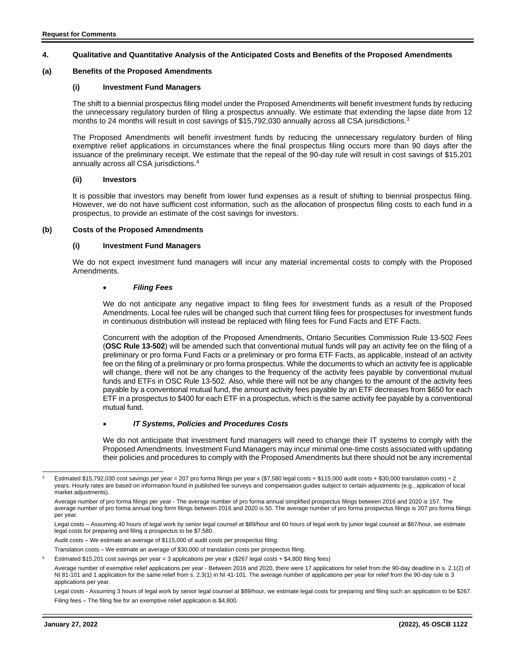# **4. Qualitative and Quantitative Analysis of the Anticipated Costs and Benefits of the Proposed Amendments**

#### **(a) Benefits of the Proposed Amendments**

#### **(i) Investment Fund Managers**

The shift to a biennial prospectus filing model under the Proposed Amendments will benefit investment funds by reducing the unnecessary regulatory burden of filing a prospectus annually. We estimate that extending the lapse date from 12 months to 24 months will result in cost savings of \$15,792,030 annually across all CSA jurisdictions.<sup>3</sup>

The Proposed Amendments will benefit investment funds by reducing the unnecessary regulatory burden of filing exemptive relief applications in circumstances where the final prospectus filing occurs more than 90 days after the issuance of the preliminary receipt. We estimate that the repeal of the 90-day rule will result in cost savings of \$15,201 annually across all CSA jurisdictions.<sup>4</sup>

#### **(ii) Investors**

It is possible that investors may benefit from lower fund expenses as a result of shifting to biennial prospectus filing. However, we do not have sufficient cost information, such as the allocation of prospectus filing costs to each fund in a prospectus, to provide an estimate of the cost savings for investors.

#### **(b) Costs of the Proposed Amendments**

#### **(i) Investment Fund Managers**

We do not expect investment fund managers will incur any material incremental costs to comply with the Proposed Amendments.

#### • *Filing Fees*

We do not anticipate any negative impact to filing fees for investment funds as a result of the Proposed Amendments. Local fee rules will be changed such that current filing fees for prospectuses for investment funds in continuous distribution will instead be replaced with filing fees for Fund Facts and ETF Facts.

Concurrent with the adoption of the Proposed Amendments, Ontario Securities Commission Rule 13-502 *Fees* (**OSC Rule 13-502**) will be amended such that conventional mutual funds will pay an activity fee on the filing of a preliminary or pro forma Fund Facts or a preliminary or pro forma ETF Facts, as applicable, instead of an activity fee on the filing of a preliminary or pro forma prospectus. While the documents to which an activity fee is applicable will change, there will not be any changes to the frequency of the activity fees payable by conventional mutual funds and ETFs in OSC Rule 13-502. Also, while there will not be any changes to the amount of the activity fees payable by a conventional mutual fund, the amount activity fees payable by an ETF decreases from \$650 for each ETF in a prospectus to \$400 for each ETF in a prospectus, which is the same activity fee payable by a conventional mutual fund.

# • *IT Systems, Policies and Procedures Costs*

We do not anticipate that investment fund managers will need to change their IT systems to comply with the Proposed Amendments. Investment Fund Managers may incur minimal one-time costs associated with updating their policies and procedures to comply with the Proposed Amendments but there should not be any incremental

Audit costs – We estimate an average of \$115,000 of audit costs per prospectus filing.

Translation costs – We estimate an average of \$30,000 of translation costs per prospectus filing.

Legal costs - Assuming 3 hours of legal work by senior legal counsel at \$89/hour, we estimate legal costs for preparing and filing such an application to be \$267. Filing fees – The filing fee for an exemptive relief application is \$4,800.

<sup>3</sup> Estimated \$15,792,030 cost savings per year = 207 pro forma filings per year x (\$7,580 legal costs + \$115,000 audit costs + \$30,000 translation costs) ÷ 2 years. Hourly rates are based on information found in published fee surveys and compensation guides subject to certain adjustments (e.g., application of local market adjustments).

Average number of pro forma filings per year - The average number of pro forma annual simplified prospectus filings between 2016 and 2020 is 157. The average number of pro forma annual long form filings between 2016 and 2020 is 50. The average number of pro forma prospectus filings is 207 pro forma filings per year.

Legal costs – Assuming 40 hours of legal work by senior legal counsel at \$89/hour and 60 hours of legal work by junior legal counsel at \$67/hour, we estimate legal costs for preparing and filing a prospectus to be \$7,580.

Estimated \$15,201 cost savings per year = 3 applications per year x (\$267 legal costs + \$4,800 filing fees)

Average number of exemptive relief applications per year - Between 2016 and 2020, there were 17 applications for relief from the 90-day deadline in s. 2.1(2) of NI 81-101 and 1 application for the same relief from s. 2.3(1) in NI 41-101. The average number of applications per year for relief from the 90-day rule is 3 applications per year.